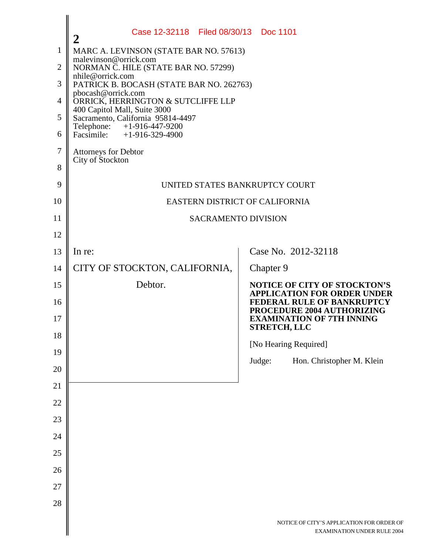|                | Case 12-32118 Filed 08/30/13 Doc 1101<br>$\overline{2}$           |                                                                                 |  |
|----------------|-------------------------------------------------------------------|---------------------------------------------------------------------------------|--|
| $\mathbf{1}$   | MARC A. LEVINSON (STATE BAR NO. 57613)                            |                                                                                 |  |
| $\overline{2}$ | malevinson@orrick.com<br>NORMAN C. HILE (STATE BAR NO. 57299)     |                                                                                 |  |
| 3              | nhile@orrick.com<br>PATRICK B. BOCASH (STATE BAR NO. 262763)      |                                                                                 |  |
| 4              | pbocash@orrick.com<br>ORRICK, HERRINGTON & SUTCLIFFE LLP          |                                                                                 |  |
| 5              | 400 Capitol Mall, Suite 3000<br>Sacramento, California 95814-4497 |                                                                                 |  |
| 6              | Telephone:<br>$+1-916-447-9200$<br>Facsimile: $+1-916-329-4900$   |                                                                                 |  |
| 7              | <b>Attorneys for Debtor</b>                                       |                                                                                 |  |
| 8              | City of Stockton                                                  |                                                                                 |  |
| 9              | UNITED STATES BANKRUPTCY COURT                                    |                                                                                 |  |
| 10             | EASTERN DISTRICT OF CALIFORNIA                                    |                                                                                 |  |
| 11             | <b>SACRAMENTO DIVISION</b>                                        |                                                                                 |  |
| 12             |                                                                   |                                                                                 |  |
| 13             | In re:                                                            | Case No. 2012-32118                                                             |  |
| 14             | CITY OF STOCKTON, CALIFORNIA,                                     | Chapter 9                                                                       |  |
| 15             | Debtor.                                                           | <b>NOTICE OF CITY OF STOCKTON'S</b><br><b>APPLICATION FOR ORDER UNDER</b>       |  |
| 16             |                                                                   | FEDERAL RULE OF BANKRUPTCY<br>PROCEDURE 2004 AUTHORIZING                        |  |
| 17             |                                                                   | <b>EXAMINATION OF 7TH INNING</b><br><b>STRETCH, LLC</b>                         |  |
| 18             |                                                                   | [No Hearing Required]                                                           |  |
| 19             |                                                                   |                                                                                 |  |
| 20             |                                                                   | Judge:<br>Hon. Christopher M. Klein                                             |  |
| 21             |                                                                   |                                                                                 |  |
| 22             |                                                                   |                                                                                 |  |
| 23             |                                                                   |                                                                                 |  |
| 24             |                                                                   |                                                                                 |  |
| 25             |                                                                   |                                                                                 |  |
| 26             |                                                                   |                                                                                 |  |
| 27             |                                                                   |                                                                                 |  |
| 28             |                                                                   |                                                                                 |  |
|                |                                                                   | NOTICE OF CITY'S APPLICATION FOR ORDER OF<br><b>EXAMINATION UNDER RULE 2004</b> |  |
|                |                                                                   |                                                                                 |  |